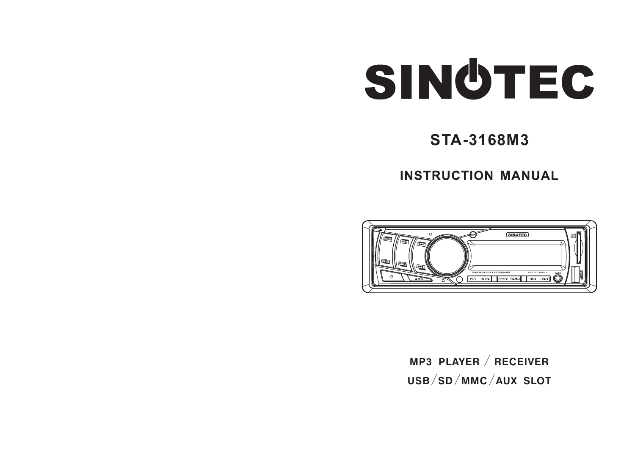# SINGTEC

## **STA-3168M3**

**INSTRUCTION MANUAL** 



**MP3 PLAYER** / **RECEIVER USB**/**SD**/**MMC**/**AUX SLOT**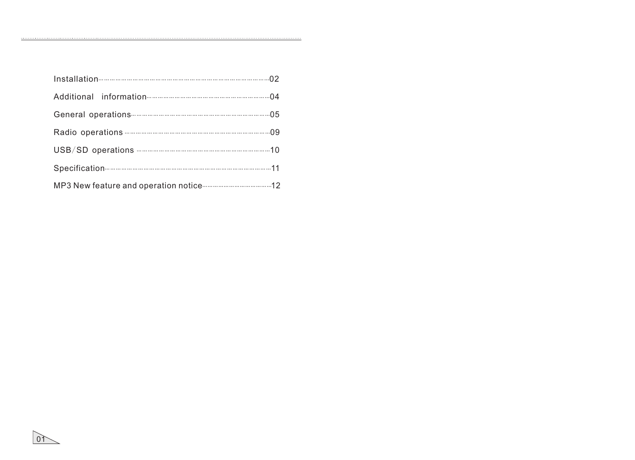$0<sup>1</sup>$ 

 $\ldots$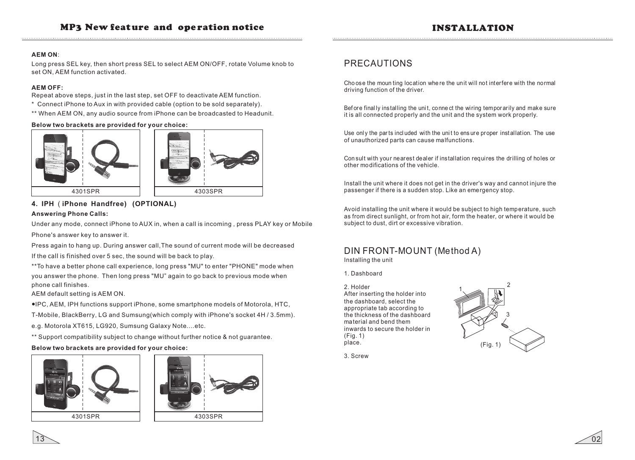#### INSTALLATION

#### **AEM ON**:

Long press SEL key, then short press SEL to select AEM ON/OFF, rotate Volume knob to set ON, AEM function activated.

#### **AEM OFF:**

Repeat above steps, just in the last step, set OFF to deactivate AEM function.

- \* Connect iPhone to Aux in with provided cable (option to be sold separately).
- \*\* When AEM ON, any audio source from iPhone can be broadcasted to Headunit.

#### **Below two brackets are provided for your choice:**



#### **4. IPH** ( **iPhone Handfree ) (OPTIONAL) Answering Phone Calls:**

Under any mode, connect iPhone to AUX in, when a call is incoming , press PLAY key or Mobile Phone's answer key to answer it.

Press again to hang up. During answer call,The sound of current mode will be decreased If the call is finished over 5 sec, the sound will be back to play.

\*\*To have a better phone call experience, long press "MU" to enter "PHONE" mode when you answer the phone. Then long press "MU" again to go back to previous mode when phone call finishes.

AEM default setting is AEM ON.

●IPC, AEM, IPH functions support iPhone, some smartphone models of Motorola, HTC,

T-Mobile, BlackBerry, LG and Sumsung(which comply with iPhone's socket 4H / 3.5mm). e.g. Motorola XT615, LG920, Sumsung Galaxy Note….etc.

\*\* Support compatibility subject to change without further notice & not guarantee.

#### **Below two brackets are provided for your choice:**





#### PRECAUTIONS

Cho ose the moun ting location whe re the unit will not interfere with the normal driving function of the driver.

Before final Iv installing the unit, connect the wiring tempor arily and make sure it is all connected properly and the unit and the system work properly.

Use only the parts included with the unit to ensure proper installation. The use of unauthorized parts can cause malfunctions.

Con sult with your nearest dealer if instal lation requires the drilling of holes or other modifications of the vehicle.

Install the unit where it does not get in the driver's way and cannot injure the passenger if there is a sudden stop. Like an emergency stop.

Avoid installing the unit where it would be subject to high temperature, such as from direct sunlight, or from hot air, form the heater, or where it would be subject to dust, dirt or excessive vibration.

#### DIN FRONT-MOUNT (Method A)

Installing the unit

1. Dashboard

2. Holder

After inserting the holder into the dashboard, select the appropriate tab according to the thickness of the dashboard material and bend them inwards to secure the holder in (Fig. 1) place.



3. Screw

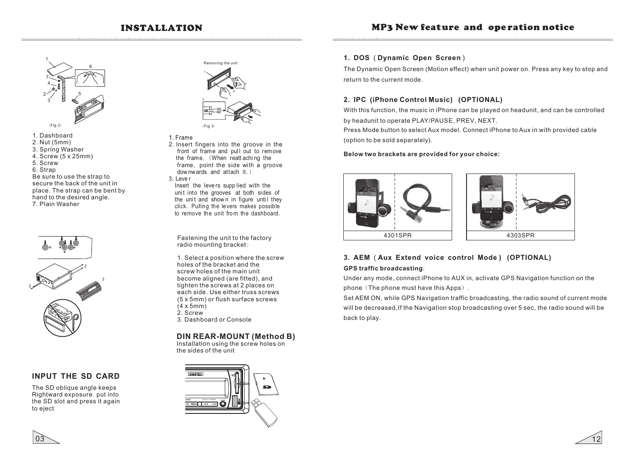

- 1. Dashboard
- 2. Nut (5mm)
- 3. Spring Washer
- 4. Screw (5 x 25mm) 5. Screw
- 6. Strap

Be sure to use the strap to secure the back of the unit in place. The strap can be bent by hand to the desired angle. 7. Plain Washer



#### **INPUT THE SD CARD**

The SD oblique angle keeps Rightward exposure, put into the SD slot and press it again to eject.



- 1. Frame
- 2.Insert fingers into the groove in the front of frame and pull out to remove the frame. (When reatt achi ng the frame, point the side with a groove dow nwards and attach it.)
- $3.$  Leve r

Insert the leve rs supp lied with the unit into the grooves at both sides of the unit and shown in figure until they click. Pulling the levers makes possible to remove the unit from the dashboard

Fastening the unit to the factory radio mounting bracket:

1. Select a position where the screw holes of the bracket and the screw holes of the main unit become aligned (are fitted), and tighten the screws at 2 places on each side. Use either truss screws (5 x 5mm) or flush surface screws  $(4 \times 5$ mm $)$  $2.$  Screw 3. Dashboard or Console

#### **DIN REAR-MOUNT (Method B)**

Installation using the screw holes on the sides of the unit



#### **1. DOS** ( **Dynamic Open Screen** )

The Dynamic Open Screen (Motion effect) when unit power on. Press any key to stop and return to the current mode.

#### **2 . IPC (iPhone Control Music) (OPTIONAL)**

With this function, the music in iPhone can be played on headunit, and can be controlled by headunit to operate PLAY/PAUSE, PREV, NEXT.

Press Mode button to select Aux model. Connect iPhone to Aux in with provided cable (option to be sold separately).

#### **Below two brackets are provided for your choice:**





#### **3. AEM** ( **Aux Extend voice control Mode ) (OPTIONAL) GPS traffic broadcasting**:

Under any mode, connect iPhone to AUX in, activate GPS Navigation function on the phone (The phone must have this Apps).

Set AEM ON, while GPS Navigation traffic broadcasting, the radio sound of current mode will be decreased,If the Navigation stop broadcasting over 5 sec, the radio sound will be back to play.



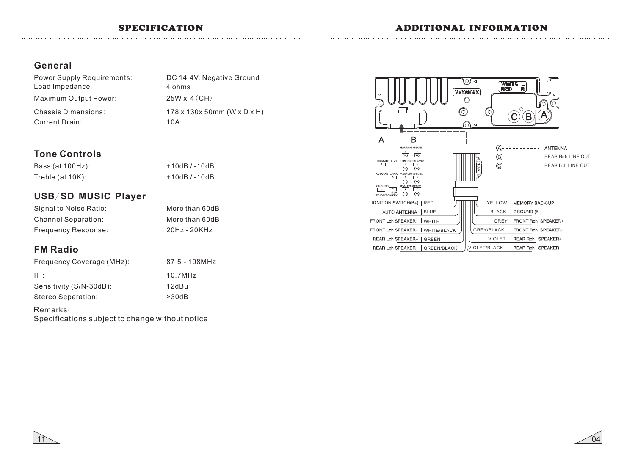#### **General**

| <b>Power Supply Requirements:</b> | DC 1 |
|-----------------------------------|------|
| Load Impedance:                   | 4 oh |
| Maximum Output Power:             | 25W  |
| <b>Chassis Dimensions:</b>        | 178  |
| Current Drain:                    | 10A  |

DC 14.4V, Negative Ground 178 x 130x 50mm (W x D x H) 25W x 4(CH) 4 ohms

#### **Tone Controls**

| Bass (at 100Hz):    | +10dB / -10dB |
|---------------------|---------------|
| Treble (at $10K$ ): | +10dB / -10dB |

#### **USB**/**SD MUSIC Player**

| Signal to Noise Ratio:     | More than 60dB |
|----------------------------|----------------|
| <b>Channel Separation:</b> | More than 60dB |
| <b>Frequency Response:</b> | $20Hz - 20KHz$ |

### **FM Radio**

| Frequency Coverage (MHz): | 87.5 - 108MHz |
|---------------------------|---------------|
| IF :                      | 10.7MHz       |
| Sensitivity (S/N-30dB):   | 12dBu         |
| Stereo Separation:        | >30dB         |

#### Remarks:

Specifications subject to change without notice





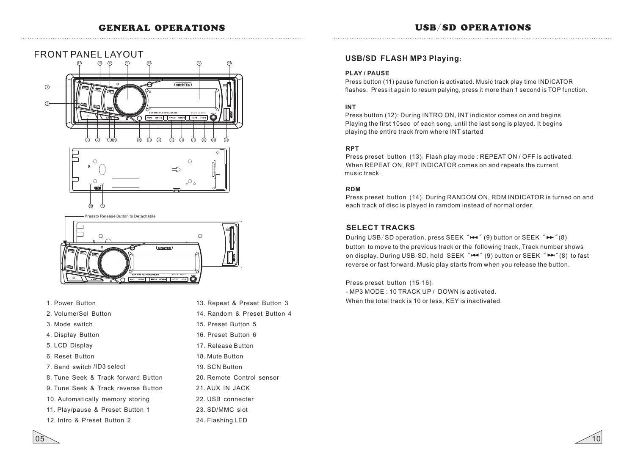



- Press @ Release Button to Detachable



- 1.Power Button
- 2.Volume/Sel Button
- 3.Mode switch
- 4. Display Button
- 5.LCD Display
- 6.Reset Button
- 7.Band switch /ID3 select
- 8.Tune Seek & Track forward Button
- 9.Tune Seek & Track reverse Button
- 10.Automatically memory storing
- 11.Play/pause & Preset Button 1
- 12.Intro & Preset Button 2
- 13.Repeat & Preset Button 3
- 14.Random & Preset Button 4
- 15.Preset Button 5
- 16.Preset Button 6
- 17.Release Button
- 18. Mute Button
- 19. SCN Button
- 20. Remote Control sensor
- 21. AUX IN JACK
- 22. USB connecter
- 23. SD/MMC slot
- 24. Flashing LED

#### **USB/SD FLASH MP3 Playing**:

#### **PLAY / PAUSE**

Press button (11) pause function is activated. Music track play time INDICATOR flashes. Press it again to resum palying, press it more than 1 second is TOP function.

#### **INT**

Press button (12): During INTRO ON, INT indicator comes on and begins Playing the first 10sec of each song, until the last song is played. It begins playing the entire track from where INT started

#### **RPT**

Press preset button (13): Flash play mode : REPEAT ON / OFF is activated. When REPEAT ON, RPT INDICATOR comes on and repeats the current music track.

#### **RDM**

 $P$ ress preset button  $(14)$ : During  $RANDOM ON$ ,  $RDM INDICATOR$  is turned on and each track of disc is played in ramdom instead of normal order.

#### **SELECT TRACKS**

During USB/SD operation, press SEEK " $\leftarrow$ " (9) button or SEEK " $\leftarrow$ " (8) button to move to the previous track or the following track, Track number shows on display. During USB/SD, hold SEEK " $\blacktriangleleft$ " (9) button or SEEK " $\blacktriangleright$ " (8) to fast reverse or fast forward. Music play starts from when you release the button.

Press preset button (15-16): - MP3 MODE : 10 TRACK UP / DOWN is activated. When the total track is 10 or less, KEY is inactivated.



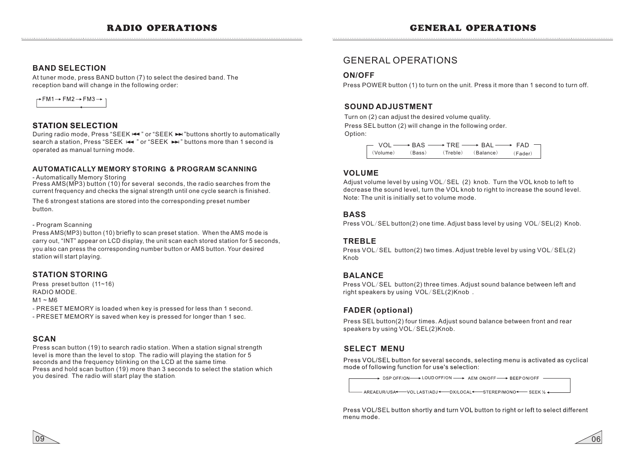#### **BAND SELECTION**

At tuner mode, press BAND button (7) to select the desired band. The reception band will change in the following order:



#### **STATION SELECTION**

During radio mode, Press "SEEK !<sup>44</sup>" or "SEEK >→ "buttons shortly to automatically search a station, Press "SEEK  $\leftarrow$ " or "SEEK  $\leftarrow$ " buttons more than 1 second is operated as manual turning mode.

#### **AUTOMATICALLY MEMORY STORING & PROGRAM SCANNING**

- Automatically Memory Storing

Press AMS(MP3) button (10) for several seconds, the radio searches from the current frequency and checks the signal strength until one cycle search is finished.

The 6 strongest stations are stored into the corresponding preset number button.

#### - Program Scanning

Press AMS(MP3) button (10) briefly to scan preset station. When the AMS mode is carry out, "INT" appear on LCD display, the unit scan each stored station for 5 seconds, you also can press the corresponding number button or AMS button. Your desired station will start playing.

#### **STATION STORING**

Press preset button (11~16) RADIO MODE.

#### $M1 \sim M6$

- PRESET MEMORY is loaded when key is pressed for less than 1 second. - PRESET MEMORY is saved when key is pressed for longer than 1 sec.

#### **SCAN**

09

Press scan button (19) to search radio station. When a station signal strength level is more than the level to stop. The radio will playing the station for 5 seconds and the frequency blinking on the LCD at the same time. Press and hold scan button (19) more than 3 seconds to select the station which you desired. The radio will start play the station.

#### GENERAL OPERATIONS

#### **ON/OFF**

Press POWER button (1) to turn on the unit. Press it more than 1 second to turn off.

#### **SOUND ADJUSTMENT**

Turn on (2) can adjust the desired volume quality. Press SEL button (2) will change in the following order. Option:

> $VOL \longrightarrow BAS \longrightarrow TRE \longrightarrow BAL \longrightarrow FAD$ (Volume) (Bass) (Treble) (Balance) (Fader)

#### **VOLUME**

Adjust volume level by using VOL/SEL (2) knob. Turn the VOL knob to left to decrease the sound level, turn the VOL knob to right to increase the sound level. Note: The unit is initially set to volume mode.

#### **BASS**

Press VOL/SEL button(2) one time. Adjust bass level by using VOL/SEL(2) Knob.

#### **TREBLE**

Press VOL/SEL button(2) two times. Adjust treble level by using VOL/SEL(2) Knob

#### **BALANCE**

Press VOL/SEL button(2) three times. Adjust sound balance between left and right speakers by using VOL/SEL(2)Knob .

#### **FADER (optional)**

Press SEL button(2) four times. Adjust sound balance between front and rear speakers by using VOL/SEL(2)Knob.

#### **SELECT MENU**

Press VOL/SEL button for several seconds, selecting menu is activated as cyclical mode of following function for use's selection:

> DSP OFF/ON->LOUD OFF/ON -> AEM ON/OFF -> BEEP ON/OFF -

- AREAEUR/USA + - - VOL LAST/ADJ + - - - DX/LOCAL + - - - STEREP/MONO + - - - SEEK 1/2 +

Press VOL/SEL button shortly and turn VOL button to right or left to select different menu mode

06